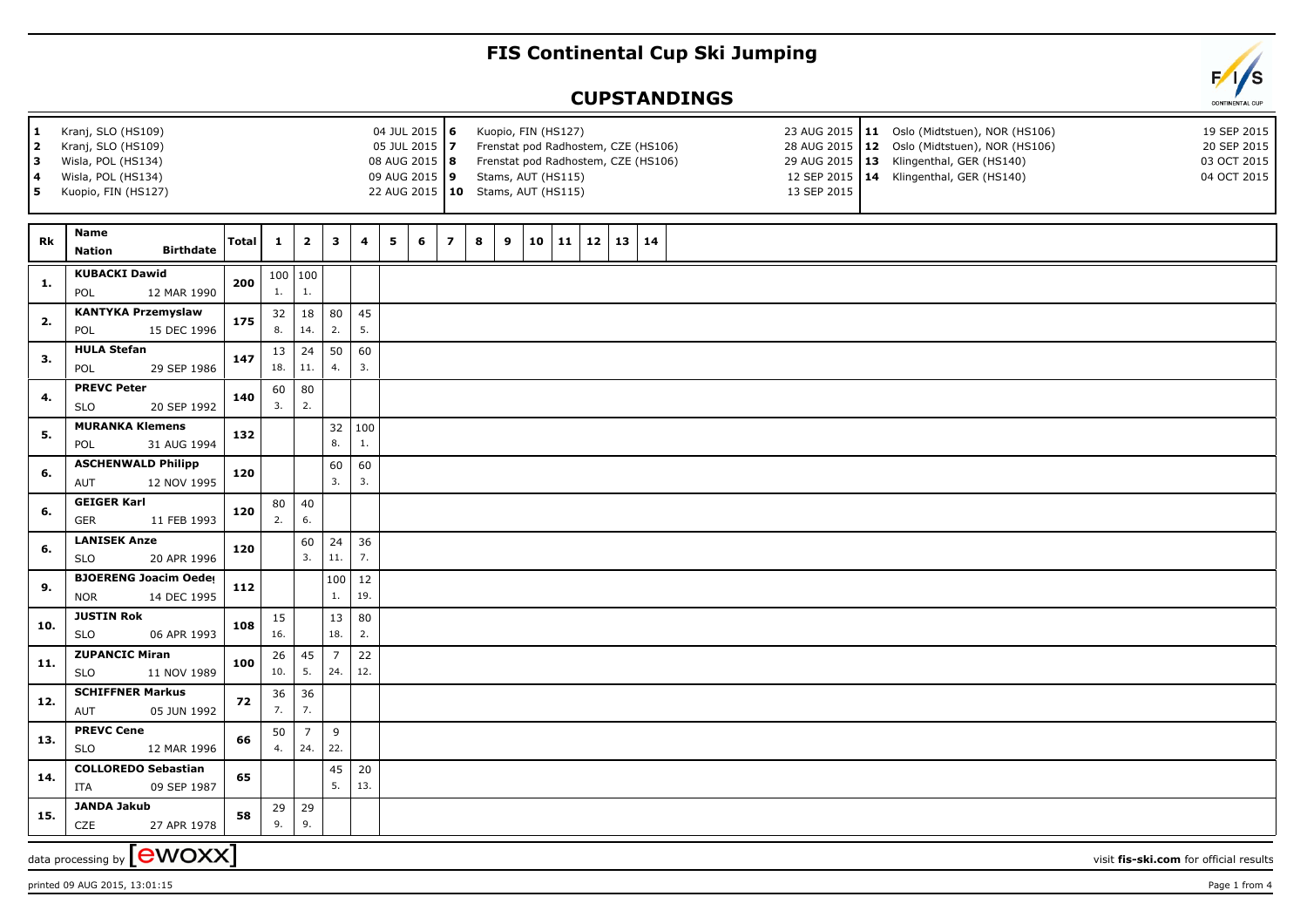## **FIS Continental Cup Ski Jumping**

## **CUPSTANDINGS**



printed 09 AUG 2015, 13:01:15 Page 1 from 4

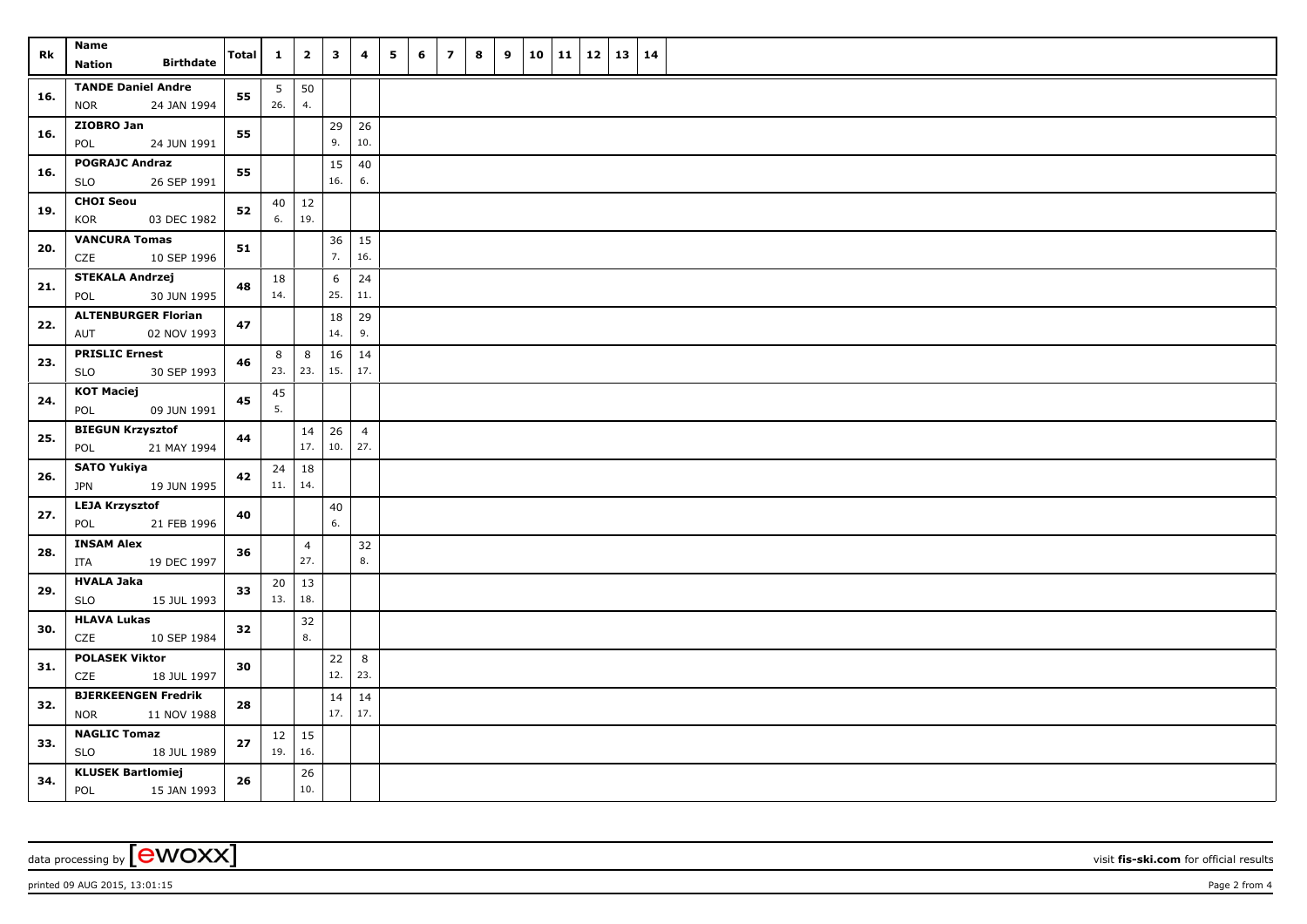| Rk  | Name<br><b>Birthdate</b><br><b>Nation</b>               | <b>Total</b> | $\mathbf{1}$           | $\overline{2}$        | $\mathbf{3}$           | $\overline{\mathbf{4}}$ | 5 | 6 | $\overline{ }$ | $\bf{8}$ | 9 | 10 11 | 12 | 13   14 |  |
|-----|---------------------------------------------------------|--------------|------------------------|-----------------------|------------------------|-------------------------|---|---|----------------|----------|---|-------|----|---------|--|
| 16. | <b>TANDE Daniel Andre</b><br><b>NOR</b><br>24 JAN 1994  | 55           | $5\phantom{.0}$<br>26. | 50<br>4.              |                        |                         |   |   |                |          |   |       |    |         |  |
| 16. | ZIOBRO Jan<br>POL<br>24 JUN 1991                        | 55           |                        |                       | 29<br>9.               | 26<br>10.               |   |   |                |          |   |       |    |         |  |
| 16. | <b>POGRAJC Andraz</b><br>26 SEP 1991<br>SLO             | 55           |                        |                       | 15<br>16.              | 40<br>6.                |   |   |                |          |   |       |    |         |  |
| 19. | <b>CHOI Seou</b><br>KOR<br>03 DEC 1982                  | 52           | 6.                     | $40 \mid 12$<br>19.   |                        |                         |   |   |                |          |   |       |    |         |  |
| 20. | <b>VANCURA Tomas</b><br>CZE<br>10 SEP 1996              | 51           |                        |                       | 36<br>7.               | 15<br>16.               |   |   |                |          |   |       |    |         |  |
| 21. | <b>STEKALA Andrzej</b><br>30 JUN 1995<br>POL            | 48           | 18<br>14.              |                       | $6\phantom{.}6$<br>25. | 24<br>11.               |   |   |                |          |   |       |    |         |  |
| 22. | <b>ALTENBURGER Florian</b><br>AUT<br>02 NOV 1993        | 47           |                        |                       | $18\,$<br>14.          | 29<br>9.                |   |   |                |          |   |       |    |         |  |
| 23. | <b>PRISLIC Ernest</b><br><b>SLO</b><br>30 SEP 1993      | 46           | 8<br>23.               | 8<br>23.              | 16<br>15.              | 14<br>17.               |   |   |                |          |   |       |    |         |  |
| 24. | <b>KOT Maciej</b><br>POL<br>09 JUN 1991                 | 45           | 45<br>5.               |                       |                        |                         |   |   |                |          |   |       |    |         |  |
| 25. | <b>BIEGUN Krzysztof</b><br>POL<br>21 MAY 1994           | 44           |                        | 14<br>17.             | 26<br>10.              | $\overline{4}$<br>27.   |   |   |                |          |   |       |    |         |  |
| 26. | <b>SATO Yukiya</b><br>19 JUN 1995<br>JPN                | 42           | 11.                    | $24 \mid 18$<br>14.   |                        |                         |   |   |                |          |   |       |    |         |  |
| 27. | <b>LEJA Krzysztof</b><br>21 FEB 1996<br>POL             | 40           |                        |                       | $40\,$<br>6.           |                         |   |   |                |          |   |       |    |         |  |
| 28. | <b>INSAM Alex</b><br>19 DEC 1997<br>ITA                 | 36           |                        | $\overline{4}$<br>27. |                        | 32<br>8.                |   |   |                |          |   |       |    |         |  |
| 29. | <b>HVALA Jaka</b><br><b>SLO</b><br>15 JUL 1993          | 33           | 20<br>13.              | 13<br>18.             |                        |                         |   |   |                |          |   |       |    |         |  |
| 30. | <b>HLAVA Lukas</b><br>CZE<br>10 SEP 1984                | 32           |                        | 32<br>8.              |                        |                         |   |   |                |          |   |       |    |         |  |
| 31. | <b>POLASEK Viktor</b><br>CZE<br>18 JUL 1997             | 30           |                        |                       | 22<br>12.              | 8<br>23.                |   |   |                |          |   |       |    |         |  |
| 32. | <b>BJERKEENGEN Fredrik</b><br><b>NOR</b><br>11 NOV 1988 | 28           |                        |                       | 14<br>17.              | 14<br>17.               |   |   |                |          |   |       |    |         |  |
| 33. | <b>NAGLIC Tomaz</b><br><b>SLO</b><br>18 JUL 1989        | 27           | 19.                    | $12 \mid 15$<br>16.   |                        |                         |   |   |                |          |   |       |    |         |  |
| 34. | <b>KLUSEK Bartlomiej</b><br>POL<br>15 JAN 1993          | 26           |                        | 26<br>10.             |                        |                         |   |   |                |          |   |       |    |         |  |

data processing by **CWOXX** wisit **fis-ski.com** for official results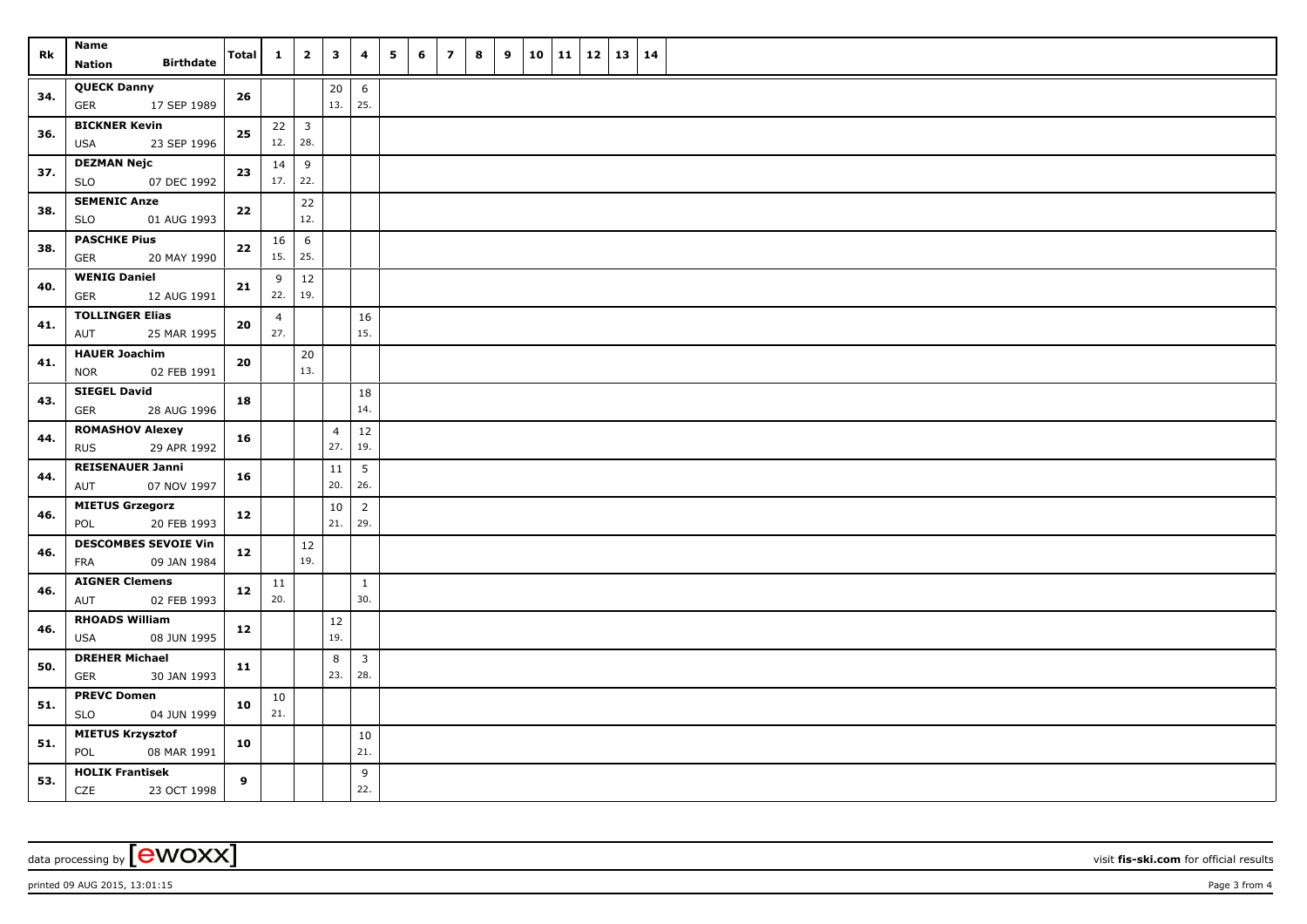| Rk  | Name<br><b>Birthdate</b><br><b>Nation</b>                | <b>Total</b> | $\mathbf{1}$             | $\overline{2}$ | $\mathbf{3}$          | 4                     | 5<br>6 | $\overline{\mathbf{z}}$ | $\bf{8}$ | 9 | 10 | 11 | $12 \mid 13$ | 14 |  |
|-----|----------------------------------------------------------|--------------|--------------------------|----------------|-----------------------|-----------------------|--------|-------------------------|----------|---|----|----|--------------|----|--|
| 34. | <b>QUECK Danny</b><br>17 SEP 1989<br><b>GER</b>          | 26           |                          |                | 20<br>13.             | 6<br>25.              |        |                         |          |   |    |    |              |    |  |
| 36. | <b>BICKNER Kevin</b><br>23 SEP 1996<br>USA               | ${\bf 25}$   | $22 \mid 3$<br>12.   28. |                |                       |                       |        |                         |          |   |    |    |              |    |  |
| 37. | <b>DEZMAN Nejc</b><br><b>SLO</b><br>07 DEC 1992          | 23           | 14<br>$17.$ 22.          | $\,9$          |                       |                       |        |                         |          |   |    |    |              |    |  |
| 38. | <b>SEMENIC Anze</b><br><b>SLO</b><br>01 AUG 1993         | 22           |                          | 22<br>12.      |                       |                       |        |                         |          |   |    |    |              |    |  |
| 38. | <b>PASCHKE Pius</b><br><b>GER</b><br>20 MAY 1990         | ${\bf 22}$   | 16<br>15.                | 6<br>25.       |                       |                       |        |                         |          |   |    |    |              |    |  |
| 40. | <b>WENIG Daniel</b><br><b>GER</b><br>12 AUG 1991         | 21           | 9<br>22.                 | 12<br>19.      |                       |                       |        |                         |          |   |    |    |              |    |  |
| 41. | <b>TOLLINGER Elias</b><br>25 MAR 1995<br>AUT             | 20           | $\overline{4}$<br>27.    |                |                       | 16<br>15.             |        |                         |          |   |    |    |              |    |  |
| 41. | <b>HAUER Joachim</b><br><b>NOR</b><br>02 FEB 1991        | 20           |                          | 20<br>13.      |                       |                       |        |                         |          |   |    |    |              |    |  |
| 43. | <b>SIEGEL David</b><br>GER<br>28 AUG 1996                | 18           |                          |                |                       | 18<br>14.             |        |                         |          |   |    |    |              |    |  |
| 44. | <b>ROMASHOV Alexey</b><br>29 APR 1992<br><b>RUS</b>      | 16           |                          |                | $\overline{4}$<br>27. | $12\,$<br>19.         |        |                         |          |   |    |    |              |    |  |
| 44. | <b>REISENAUER Janni</b><br>07 NOV 1997<br>AUT            | 16           |                          |                | 11<br>20.             | 5<br>26.              |        |                         |          |   |    |    |              |    |  |
| 46. | <b>MIETUS Grzegorz</b><br>20 FEB 1993<br>POL             | 12           |                          |                | 10<br>21.             | $\overline{2}$<br>29. |        |                         |          |   |    |    |              |    |  |
| 46. | <b>DESCOMBES SEVOIE Vin</b><br>09 JAN 1984<br><b>FRA</b> | 12           |                          | 12<br>19.      |                       |                       |        |                         |          |   |    |    |              |    |  |
| 46. | <b>AIGNER Clemens</b><br>02 FEB 1993<br>AUT              | 12           | 11<br>20.                |                |                       | $\mathbf{1}$<br>30.   |        |                         |          |   |    |    |              |    |  |
| 46. | <b>RHOADS William</b><br>08 JUN 1995<br>USA              | 12           |                          |                | 12<br>19.             |                       |        |                         |          |   |    |    |              |    |  |
| 50. | <b>DREHER Michael</b><br>GER<br>30 JAN 1993              | 11           |                          |                | 8<br>23.              | $\mathbf{3}$<br>28.   |        |                         |          |   |    |    |              |    |  |
| 51. | <b>PREVC Domen</b><br><b>SLO</b><br>04 JUN 1999          | 10           | 10<br>21.                |                |                       |                       |        |                         |          |   |    |    |              |    |  |
| 51. | <b>MIETUS Krzysztof</b><br>POL<br>08 MAR 1991            | 10           |                          |                |                       | 10<br>21.             |        |                         |          |   |    |    |              |    |  |
| 53. | <b>HOLIK Frantisek</b><br>CZE<br>23 OCT 1998             | 9            |                          |                |                       | 9<br>22.              |        |                         |          |   |    |    |              |    |  |

data processing by **CWOXX** wisit **fis-ski.com** for official results